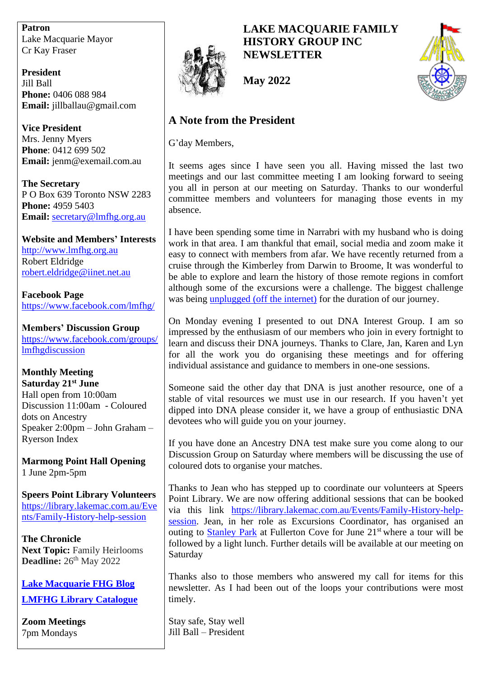**Patron** Lake Macquarie Mayor Cr Kay Fraser

**President** Jill Ball **Phone:** 0406 088 984 **Email:** jillballau@gmail.com

**Vice President** Mrs. Jenny Myers **Phone**: 0412 699 502 **Email:** jenm@exemail.com.au

**The Secretary** P O Box 639 Toronto NSW 2283 **Phone:** 4959 5403 **Email:** [secretary@lmfhg.org.au](mailto:secretary@lmfhg.org.au)

**Website and Members' Interests** [http://www.lmfhg.org.au](http://www.lmfhg.org.au/) Robert Eldridge [robert.eldridge@iinet.net.au](mailto:robert.eldridge@iinet.net.au)

**Facebook Page** <https://www.facebook.com/lmfhg/>

**Members' Discussion Group** [https://www.facebook.com/groups/](https://www.facebook.com/groups/lmfhgdiscussion) [lmfhgdiscussion](https://www.facebook.com/groups/lmfhgdiscussion)

**Monthly Meeting Saturday 21st June** Hall open from 10:00am Discussion 11:00am - Coloured dots on Ancestry Speaker 2:00pm – John Graham – Ryerson Index

**Marmong Point Hall Opening** 1 June 2pm-5pm

**Speers Point Library Volunteers** [https://library.lakemac.com.au/Eve](https://library.lakemac.com.au/Events/Family-History-help-session) [nts/Family-History-help-session](https://library.lakemac.com.au/Events/Family-History-help-session)

**The Chronicle Next Topic:** Family Heirlooms **Deadline:** 26<sup>th</sup> May 2022

**[Lake Macquarie FHG Blog](https://lakemacfhg.blogspot.com/) [LMFHG Library Catalogue](https://www.librarything.com/profile/LMFHG)**

**Zoom Meetings** 7pm Mondays



**LAKE MACQUARIE FAMILY HISTORY GROUP INC NEWSLETTER**



**May 2022**

# **A Note from the President**

G'day Members,

It seems ages since I have seen you all. Having missed the last two meetings and our last committee meeting I am looking forward to seeing you all in person at our meeting on Saturday. Thanks to our wonderful committee members and volunteers for managing those events in my absence.

I have been spending some time in Narrabri with my husband who is doing work in that area. I am thankful that email, social media and zoom make it easy to connect with members from afar. We have recently returned from a cruise through the Kimberley from Darwin to Broome, It was wonderful to be able to explore and learn the history of those remote regions in comfort although some of the excursions were a challenge. The biggest challenge was being [unplugged \(off the internet\)](https://ballau.blogspot.com/2022/05/unplugged.html) for the duration of our journey.

On Monday evening I presented to out DNA Interest Group. I am so impressed by the enthusiasm of our members who join in every fortnight to learn and discuss their DNA journeys. Thanks to Clare, Jan, Karen and Lyn for all the work you do organising these meetings and for offering individual assistance and guidance to members in one-one sessions.

Someone said the other day that DNA is just another resource, one of a stable of vital resources we must use in our research. If you haven't yet dipped into DNA please consider it, we have a group of enthusiastic DNA devotees who will guide you on your journey.

If you have done an Ancestry DNA test make sure you come along to our Discussion Group on Saturday where members will be discussing the use of coloured dots to organise your matches.

Thanks to Jean who has stepped up to coordinate our volunteers at Speers Point Library. We are now offering additional sessions that can be booked via this link [https://library.lakemac.com.au/Events/Family-History-help](https://library.lakemac.com.au/Events/Family-History-help-session)[session.](https://library.lakemac.com.au/Events/Family-History-help-session) Jean, in her role as Excursions Coordinator, has organised an outing to [Stanley Park](https://stanleypark.com.au/) at Fullerton Cove for June 21<sup>st</sup> where a tour will be followed by a light lunch. Further details will be available at our meeting on Saturday

Thanks also to those members who answered my call for items for this newsletter. As I had been out of the loops your contributions were most timely.

Stay safe, Stay well Jill Ball – President